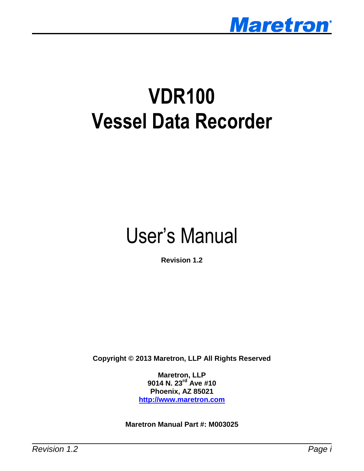

# **VDR100 Vessel Data Recorder**

# User's Manual

**Revision 1.2**

**Copyright © 2013 Maretron, LLP All Rights Reserved**

**Maretron, LLP 9014 N. 23rd Ave #10 Phoenix, AZ 85021 [http://www.maretron.com](http://www.maretron.com/)**

**Maretron Manual Part #: M003025**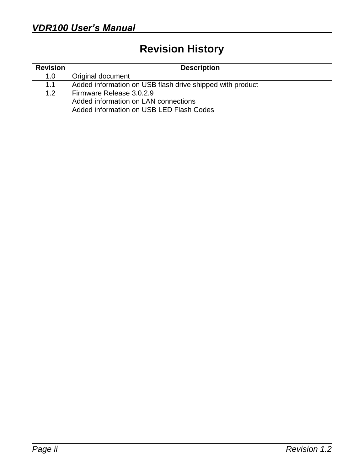# **Revision History**

| <b>Revision</b> | <b>Description</b>                                        |  |  |
|-----------------|-----------------------------------------------------------|--|--|
| 1.0             | Original document                                         |  |  |
| 1.1             | Added information on USB flash drive shipped with product |  |  |
| 1.2             | Firmware Release 3.0.2.9                                  |  |  |
|                 | Added information on LAN connections                      |  |  |
|                 | Added information on USB LED Flash Codes                  |  |  |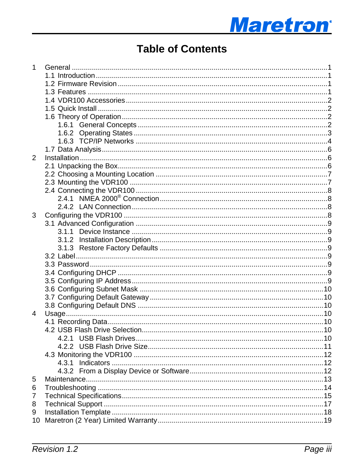# **Maretron**®

# **Table of Contents**

| $\mathbf{1}$   |       |  |
|----------------|-------|--|
|                |       |  |
|                |       |  |
|                |       |  |
|                |       |  |
|                |       |  |
|                |       |  |
|                |       |  |
|                |       |  |
|                |       |  |
|                |       |  |
| $\overline{2}$ |       |  |
|                |       |  |
|                |       |  |
|                |       |  |
|                |       |  |
|                |       |  |
|                |       |  |
|                |       |  |
| 3              |       |  |
|                |       |  |
|                |       |  |
|                |       |  |
|                |       |  |
|                |       |  |
|                |       |  |
|                |       |  |
|                |       |  |
|                |       |  |
|                |       |  |
|                |       |  |
| $\overline{4}$ |       |  |
|                |       |  |
|                |       |  |
|                |       |  |
|                |       |  |
|                |       |  |
|                | 4.3.1 |  |
|                |       |  |
| 5              |       |  |
| 6              |       |  |
| 7              |       |  |
| 8              |       |  |
| 9              |       |  |
| 10             |       |  |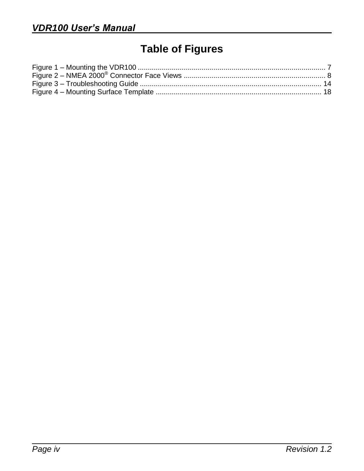# **Table of Figures**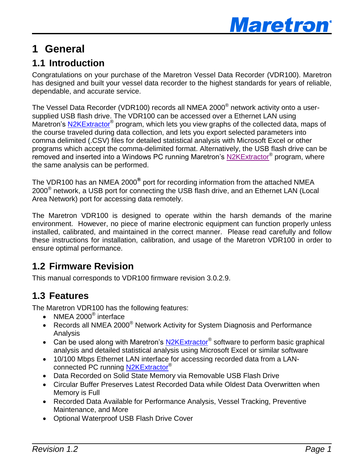

# <span id="page-4-0"></span>**1 General**

## <span id="page-4-1"></span>**1.1 Introduction**

Congratulations on your purchase of the Maretron Vessel Data Recorder (VDR100). Maretron has designed and built your vessel data recorder to the highest standards for years of reliable, dependable, and accurate service.

The Vessel Data Recorder (VDR100) records all NMEA 2000 $^\circ$  network activity onto a usersupplied USB flash drive. The VDR100 can be accessed over a Ethernet LAN using Maretron's [N2KExtractor](http://www.maretron.com/products/N2KExtractor.php)® program, which lets you view graphs of the collected data, maps of the course traveled during data collection, and lets you export selected parameters into comma delimited (.CSV) files for detailed statistical analysis with Microsoft Excel or other programs which accept the comma-delimited format. Alternatively, the USB flash drive can be .<br>removed and inserted into a Windows PC running Maretron's [N2KExtractor](http://www.maretron.com/products/N2KExtractor.php)® program, where the same analysis can be performed.

The VDR100 has an NMEA 2000<sup>®</sup> port for recording information from the attached NMEA 2000 $^{\circ}$  network, a USB port for connecting the USB flash drive, and an Ethernet LAN (Local Area Network) port for accessing data remotely.

The Maretron VDR100 is designed to operate within the harsh demands of the marine environment. However, no piece of marine electronic equipment can function properly unless installed, calibrated, and maintained in the correct manner. Please read carefully and follow these instructions for installation, calibration, and usage of the Maretron VDR100 in order to ensure optimal performance.

## <span id="page-4-2"></span>**1.2 Firmware Revision**

This manual corresponds to VDR100 firmware revision 3.0.2.9.

## <span id="page-4-3"></span>**1.3 Features**

The Maretron VDR100 has the following features:

- NMEA 2000<sup>®</sup> interface
- Records all NMEA 2000<sup>®</sup> Network Activity for System Diagnosis and Performance Analysis
- Can be used along with Maretron's [N2KExtractor](http://www.maretron.com/products/N2KExtractor.php)<sup>®</sup> software to perform basic graphical analysis and detailed statistical analysis using Microsoft Excel or similar software
- 10/100 Mbps Ethernet LAN interface for accessing recorded data from a LANconnected PC running [N2KExtractor](http://www.maretron.com/products/N2KExtractor.php)®
- Data Recorded on Solid State Memory via Removable USB Flash Drive
- Circular Buffer Preserves Latest Recorded Data while Oldest Data Overwritten when Memory is Full
- Recorded Data Available for Performance Analysis, Vessel Tracking, Preventive Maintenance, and More
- Optional Waterproof USB Flash Drive Cover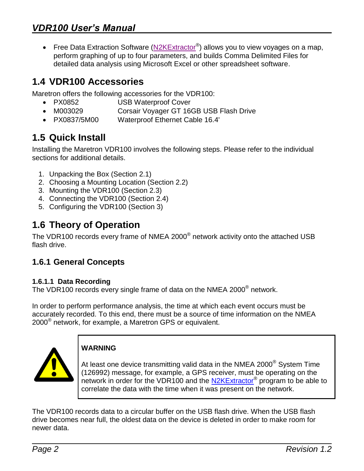• Free Data Extraction Software ( $N2KExtractor$ <sup>®</sup>) allows you to view voyages on a map, perform graphing of up to four parameters, and builds Comma Delimited Files for detailed data analysis using Microsoft Excel or other spreadsheet software.

# <span id="page-5-0"></span>**1.4 VDR100 Accessories**

Maretron offers the following accessories for the VDR100:

- PX0852 USB Waterproof Cover
- M003029 Corsair Voyager GT 16GB USB Flash Drive
- PX0837/5M00 Waterproof Ethernet Cable 16.4'

# <span id="page-5-1"></span>**1.5 Quick Install**

Installing the Maretron VDR100 involves the following steps. Please refer to the individual sections for additional details.

- 1. Unpacking the Box (Section [2.1\)](#page-9-2)
- 2. Choosing a Mounting Location (Section [2.2\)](#page-10-0)
- 3. Mounting the VDR100 (Section [2.3\)](#page-10-1)
- 4. Connecting the VDR100 (Section [2.4\)](#page-11-0)
- 5. Configuring the VDR100 (Section [3\)](#page-11-3)

## <span id="page-5-2"></span>**1.6 Theory of Operation**

The VDR100 records every frame of NMEA 2000 $^{\circledast}$  network activity onto the attached USB flash drive.

#### <span id="page-5-3"></span>**1.6.1 General Concepts**

#### **1.6.1.1 Data Recording**

The VDR100 records every single frame of data on the NMEA 2000<sup>®</sup> network.

In order to perform performance analysis, the time at which each event occurs must be accurately recorded. To this end, there must be a source of time information on the NMEA 2000 $^{\circledR}$  network, for example, a Maretron GPS or equivalent.



#### **WARNING**

At least one device transmitting valid data in the NMEA 2000<sup>®</sup> System Time (126992) message, for example, a GPS receiver, must be operating on the network in order for the VDR100 and the [N2KExtractor](http://www.maretron.com/products/N2KExtractor.php)® program to be able to correlate the data with the time when it was present on the network.

The VDR100 records data to a circular buffer on the USB flash drive. When the USB flash drive becomes near full, the oldest data on the device is deleted in order to make room for newer data.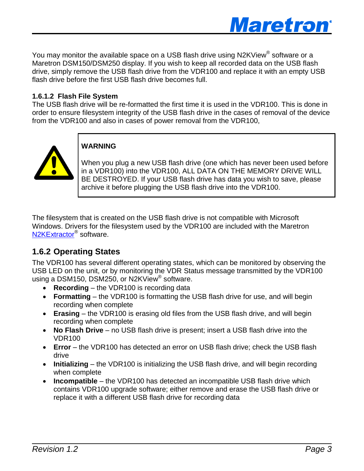

You may monitor the available space on a USB flash drive using N2KView® software or a Maretron DSM150/DSM250 display. If you wish to keep all recorded data on the USB flash drive, simply remove the USB flash drive from the VDR100 and replace it with an empty USB flash drive before the first USB flash drive becomes full.

#### **1.6.1.2 Flash File System**

The USB flash drive will be re-formatted the first time it is used in the VDR100. This is done in order to ensure filesystem integrity of the USB flash drive in the cases of removal of the device from the VDR100 and also in cases of power removal from the VDR100,



#### **WARNING**

When you plug a new USB flash drive (one which has never been used before in a VDR100) into the VDR100, ALL DATA ON THE MEMORY DRIVE WILL BE DESTROYED. If your USB flash drive has data you wish to save, please archive it before plugging the USB flash drive into the VDR100.

The filesystem that is created on the USB flash drive is not compatible with Microsoft Windows. Drivers for the filesystem used by the VDR100 are included with the Maretron [N2KExtractor](http://www.maretron.com/products/N2KExtractor.php)® software.

#### <span id="page-6-0"></span>**1.6.2 Operating States**

The VDR100 has several different operating states, which can be monitored by observing the USB LED on the unit, or by monitoring the VDR Status message transmitted by the VDR100 using a DSM150, DSM250, or N2KView® software.

- **Recording** the VDR100 is recording data
- **Formatting** the VDR100 is formatting the USB flash drive for use, and will begin recording when complete
- **Erasing** the VDR100 is erasing old files from the USB flash drive, and will begin recording when complete
- **No Flash Drive** no USB flash drive is present; insert a USB flash drive into the VDR100
- **Error** the VDR100 has detected an error on USB flash drive; check the USB flash drive
- **Initializing** the VDR100 is initializing the USB flash drive, and will begin recording when complete
- **Incompatible** the VDR100 has detected an incompatible USB flash drive which contains VDR100 upgrade software; either remove and erase the USB flash drive or replace it with a different USB flash drive for recording data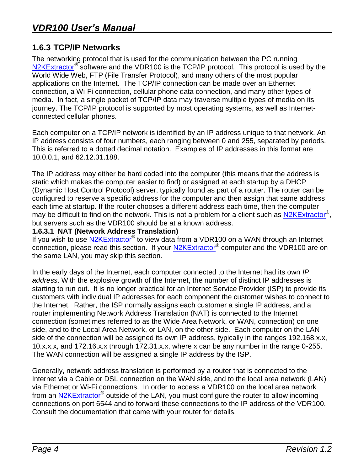#### <span id="page-7-0"></span>**1.6.3 TCP/IP Networks**

The networking protocol that is used for the communication between the PC running [N2KExtractor](http://www.maretron.com/products/N2KExtractor.php)<sup>®</sup> software and the VDR100 is the TCP/IP protocol. This protocol is used by the World Wide Web, FTP (File Transfer Protocol), and many others of the most popular applications on the Internet. The TCP/IP connection can be made over an Ethernet connection, a Wi-Fi connection, cellular phone data connection, and many other types of media. In fact, a single packet of TCP/IP data may traverse multiple types of media on its journey. The TCP/IP protocol is supported by most operating systems, as well as Internetconnected cellular phones.

Each computer on a TCP/IP network is identified by an IP address unique to that network. An IP address consists of four numbers, each ranging between 0 and 255, separated by periods. This is referred to a dotted decimal notation. Examples of IP addresses in this format are 10.0.0.1, and 62.12.31.188.

The IP address may either be hard coded into the computer (this means that the address is static which makes the computer easier to find) or assigned at each startup by a DHCP (Dynamic Host Control Protocol) server, typically found as part of a router. The router can be configured to reserve a specific address for the computer and then assign that same address each time at startup. If the router chooses a different address each time, then the computer may be difficult to find on the network. This is not a problem for a client such as [N2KExtractor](http://www.maretron.com/products/N2KExtractor.php)<sup>®</sup>, but servers such as the VDR100 should be at a known address.

#### **1.6.3.1 NAT (Network Address Translation)**

If you wish to use [N2KExtractor](http://www.maretron.com/products/N2KExtractor.php)® to view data from a VDR100 on a WAN through an Internet connection, please read this section. If your **N2KExtractor**® computer and the VDR100 are on the same LAN, you may skip this section.

In the early days of the Internet, each computer connected to the Internet had its own *IP address*. With the explosive growth of the Internet, the number of distinct IP addresses is starting to run out. It is no longer practical for an Internet Service Provider (ISP) to provide its customers with individual IP addresses for each component the customer wishes to connect to the Internet. Rather, the ISP normally assigns each customer a single IP address, and a router implementing Network Address Translation (NAT) is connected to the Internet connection (sometimes referred to as the Wide Area Network, or WAN, connection) on one side, and to the Local Area Network, or LAN, on the other side. Each computer on the LAN side of the connection will be assigned its own IP address, typically in the ranges 192.168.x.x, 10.x.x.x, and 172.16.x.x through 172.31.x.x, where x can be any number in the range 0-255. The WAN connection will be assigned a single IP address by the ISP.

Generally, network address translation is performed by a router that is connected to the Internet via a Cable or DSL connection on the WAN side, and to the local area network (LAN) via Ethernet or Wi-Fi connections. In order to access a VDR100 on the local area network from an [N2KExtractor](http://www.maretron.com/products/N2KExtractor.php)**®** outside of the LAN, you must configure the router to allow incoming connections on port 6544 and to forward these connections to the IP address of the VDR100. Consult the documentation that came with your router for details.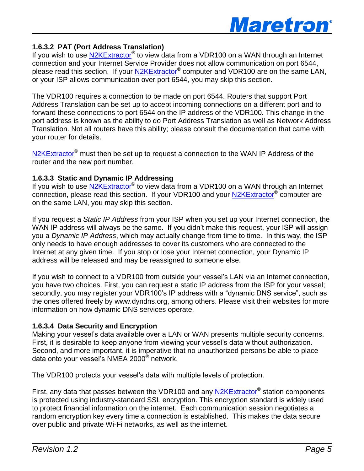

#### **1.6.3.2 PAT (Port Address Translation)**

If you wish to use [N2KExtractor](http://www.maretron.com/products/N2KExtractor.php)® to view data from a VDR100 on a WAN through an Internet connection and your Internet Service Provider does not allow communication on port 6544, please read this section. If your **N2KExtractor**® computer and VDR100 are on the same LAN, or your ISP allows communication over port 6544, you may skip this section.

The VDR100 requires a connection to be made on port 6544. Routers that support Port Address Translation can be set up to accept incoming connections on a different port and to forward these connections to port 6544 on the IP address of the VDR100. This change in the port address is known as the ability to do Port Address Translation as well as Network Address Translation. Not all routers have this ability; please consult the documentation that came with your router for details.

[N2KExtractor](http://www.maretron.com/products/N2KExtractor.php)<sup>®</sup> must then be set up to request a connection to the WAN IP Address of the router and the new port number.

#### **1.6.3.3 Static and Dynamic IP Addressing**

If you wish to use **N2KExtractor®** to view data from a VDR100 on a WAN through an Internet connection, please read this section. If your VDR100 and your **N2KExtractor<sup>®</sup>** computer are on the same LAN, you may skip this section.

If you request a *Static IP Address* from your ISP when you set up your Internet connection, the WAN IP address will always be the same. If you didn't make this request, your ISP will assign you a *Dynamic IP Address*, which may actually change from time to time. In this way, the ISP only needs to have enough addresses to cover its customers who are connected to the Internet at any given time. If you stop or lose your Internet connection, your Dynamic IP address will be released and may be reassigned to someone else.

If you wish to connect to a VDR100 from outside your vessel's LAN via an Internet connection, you have two choices. First, you can request a static IP address from the ISP for your vessel; secondly, you may register your VDR100's IP address with a "dynamic DNS service", such as the ones offered freely by [www.dyndns.org,](http://www.dyndns.org/) among others. Please visit their websites for more information on how dynamic DNS services operate.

#### **1.6.3.4 Data Security and Encryption**

Making your vessel's data available over a LAN or WAN presents multiple security concerns. First, it is desirable to keep anyone from viewing your vessel's data without authorization. Second, and more important, it is imperative that no unauthorized persons be able to place data onto your vessel's NMEA 2000<sup>®</sup> network.

The VDR100 protects your vessel's data with multiple levels of protection.

First, any data that passes between the VDR100 and any **N2KExtractor®** station components is protected using industry-standard SSL encryption. This encryption standard is widely used to protect financial information on the internet. Each communication session negotiates a random encryption key every time a connection is established. This makes the data secure over public and private Wi-Fi networks, as well as the internet.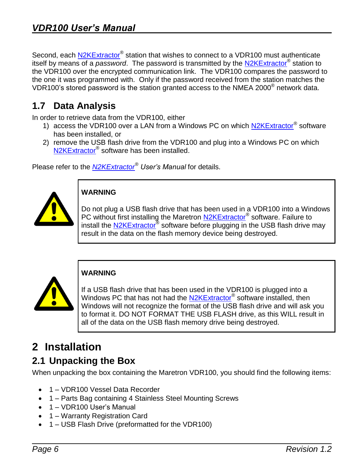Second, each **N2KExtractor®** station that wishes to connect to a VDR100 must authenticate itself by means of a *password*. The password is transmitted by the [N2KExtractor](http://www.maretron.com/products/N2KExtractor.php)® station to the VDR100 over the encrypted communication link. The VDR100 compares the password to the one it was programmed with. Only if the password received from the station matches the VDR100's stored password is the station granted access to the NMEA 2000<sup>®</sup> network data.

## <span id="page-9-0"></span>**1.7 Data Analysis**

In order to retrieve data from the VDR100, either

- 1) access the VDR100 over a LAN from a Windows PC on which [N2KExtractor](http://www.maretron.com/products/N2KExtractor.php)® software has been installed, or
- 2) remove the USB flash drive from the VDR100 and plug into a Windows PC on which [N2KExtractor](http://www.maretron.com/products/N2KExtractor.php)® software has been installed.

Please refer to the *[N2KExtractor](http://www.maretron.com/products/N2KExtractor.php)® User's Manual* for details.



#### **WARNING**

Do not plug a USB flash drive that has been used in a VDR100 into a Windows PC without first installing the Maretron [N2KExtractor](http://www.maretron.com/products/N2KExtractor.php)® software. Failure to install the [N2KExtractor](http://www.maretron.com/products/N2KExtractor.php)<sup>®</sup> software before plugging in the USB flash drive may result in the data on the flash memory device being destroyed.



#### **WARNING**

If a USB flash drive that has been used in the VDR100 is plugged into a Windows PC that has not had the [N2KExtractor](http://www.maretron.com/products/N2KExtractor.php)<sup>®</sup> software installed, then Windows will not recognize the format of the USB flash drive and will ask you to format it. DO NOT FORMAT THE USB FLASH drive, as this WILL result in all of the data on the USB flash memory drive being destroyed.

# <span id="page-9-1"></span>**2 Installation**

## <span id="page-9-2"></span>**2.1 Unpacking the Box**

When unpacking the box containing the Maretron VDR100, you should find the following items:

- 1 VDR100 Vessel Data Recorder
- 1 Parts Bag containing 4 Stainless Steel Mounting Screws
- 1 VDR100 User's Manual
- 1 Warranty Registration Card
- 1 USB Flash Drive (preformatted for the VDR100)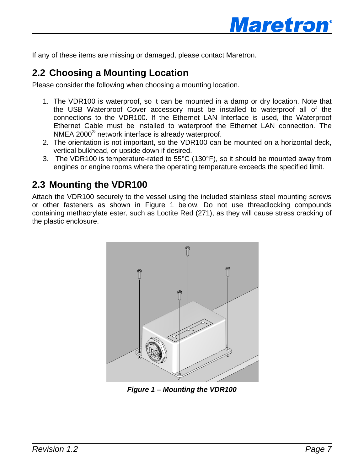

If any of these items are missing or damaged, please contact Maretron.

#### <span id="page-10-0"></span>**2.2 Choosing a Mounting Location**

Please consider the following when choosing a mounting location.

- 1. The VDR100 is waterproof, so it can be mounted in a damp or dry location. Note that the USB Waterproof Cover accessory must be installed to waterproof all of the connections to the VDR100. If the Ethernet LAN Interface is used, the Waterproof Ethernet Cable must be installed to waterproof the Ethernet LAN connection. The NMEA 2000® network interface is already waterproof.
- 2. The orientation is not important, so the VDR100 can be mounted on a horizontal deck, vertical bulkhead, or upside down if desired.
- 3. The VDR100 is temperature-rated to 55°C (130°F), so it should be mounted away from engines or engine rooms where the operating temperature exceeds the specified limit.

#### <span id="page-10-1"></span>**2.3 Mounting the VDR100**

Attach the VDR100 securely to the vessel using the included stainless steel mounting screws or other fasteners as shown in [Figure 1](#page-10-2) [below.](#page-10-2) Do not use threadlocking compounds containing methacrylate ester, such as Loctite Red (271), as they will cause stress cracking of the plastic enclosure.

<span id="page-10-2"></span>

*Figure 1 – Mounting the VDR100*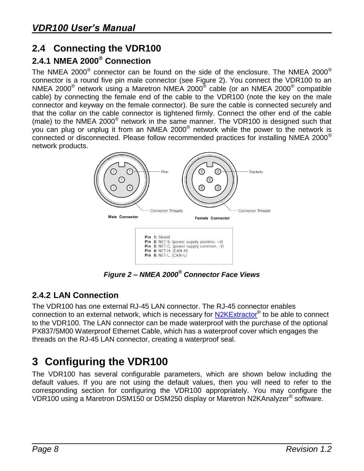## <span id="page-11-0"></span>**2.4 Connecting the VDR100**

# <span id="page-11-1"></span>**2.4.1 NMEA 2000® Connection**

The NMEA 2000 $^\circ$  connector can be found on the side of the enclosure. The NMEA 2000 $^\circ$ connector is a round five pin male connector (see [Figure 2\)](#page-11-4). You connect the VDR100 to an NMEA 2000<sup>®</sup> network using a Maretron NMEA 2000<sup>®</sup> cable (or an NMEA 2000<sup>®</sup> compatible cable) by connecting the female end of the cable to the VDR100 (note the key on the male connector and keyway on the female connector). Be sure the cable is connected securely and that the collar on the cable connector is tightened firmly. Connect the other end of the cable (male) to the NMEA 2000<sup>®</sup> network in the same manner. The VDR100 is designed such that you can plug or unplug it from an NMEA 2000 $^{\circ}$  network while the power to the network is connected or disconnected. Please follow recommended practices for installing NMEA 2000® network products.



*Figure 2 – NMEA 2000® Connector Face Views*

#### <span id="page-11-4"></span><span id="page-11-2"></span>**2.4.2 LAN Connection**

The VDR100 has one external RJ-45 LAN connector. The RJ-45 connector enables connection to an external network, which is necessary for [N2KExtractor](http://www.maretron.com/products/N2KExtractor.php)® to be able to connect to the VDR100. The LAN connector can be made waterproof with the purchase of the optional PX837/5M00 Waterproof Ethernet Cable, which has a waterproof cover which engages the threads on the RJ-45 LAN connector, creating a waterproof seal.

# <span id="page-11-3"></span>**3 Configuring the VDR100**

The VDR100 has several configurable parameters, which are shown below including the default values. If you are not using the default values, then you will need to refer to the corresponding section for configuring the VDR100 appropriately. You may configure the VDR100 using a Maretron DSM150 or DSM250 display or Maretron N2KAnalyzer® software.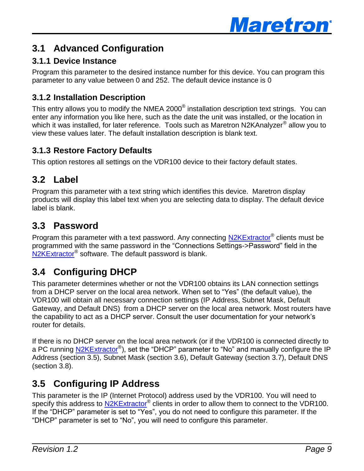

## <span id="page-12-0"></span>**3.1 Advanced Configuration**

#### <span id="page-12-1"></span>**3.1.1 Device Instance**

Program this parameter to the desired instance number for this device. You can program this parameter to any value between 0 and 252. The default device instance is 0

#### <span id="page-12-2"></span>**3.1.2 Installation Description**

This entry allows you to modify the NMEA 2000 $^{\circ}$  installation description text strings. You can enter any information you like here, such as the date the unit was installed, or the location in which it was installed, for later reference. Tools such as Maretron N2KAnalyzer<sup>®</sup> allow you to view these values later. The default installation description is blank text.

#### <span id="page-12-3"></span>**3.1.3 Restore Factory Defaults**

This option restores all settings on the VDR100 device to their factory default states.

## <span id="page-12-4"></span>**3.2 Label**

Program this parameter with a text string which identifies this device. Maretron display products will display this label text when you are selecting data to display. The default device label is blank.

## <span id="page-12-5"></span>**3.3 Password**

Program this parameter with a text password. Any connecting [N2KExtractor](http://www.maretron.com/products/N2KExtractor.php)® clients must be programmed with the same password in the "Connections Settings->Password" field in the [N2KExtractor](http://www.maretron.com/products/N2KExtractor.php)® software. The default password is blank.

# <span id="page-12-6"></span>**3.4 Configuring DHCP**

This parameter determines whether or not the VDR100 obtains its LAN connection settings from a DHCP server on the local area network. When set to "Yes" (the default value), the VDR100 will obtain all necessary connection settings (IP Address, Subnet Mask, Default Gateway, and Default DNS) from a DHCP server on the local area network. Most routers have the capability to act as a DHCP server. Consult the user documentation for your network's router for details.

If there is no DHCP server on the local area network (or if the VDR100 is connected directly to a PC running [N2KExtractor](http://www.maretron.com/products/N2KExtractor.php)®), set the "DHCP" parameter to "No" and manually configure the IP Address (section [3.5\)](#page-12-7), Subnet Mask (section [3.6\)](#page-13-0), Default Gateway (section [3.7\)](#page-13-1), Default DNS (section [3.8\)](#page-13-2).

## <span id="page-12-7"></span>**3.5 Configuring IP Address**

This parameter is the IP (Internet Protocol) address used by the VDR100. You will need to specify this address to [N2KExtractor](http://www.maretron.com/products/N2KExtractor.php)® clients in order to allow them to connect to the VDR100. If the "DHCP" parameter is set to "Yes", you do not need to configure this parameter. If the "DHCP" parameter is set to "No", you will need to configure this parameter.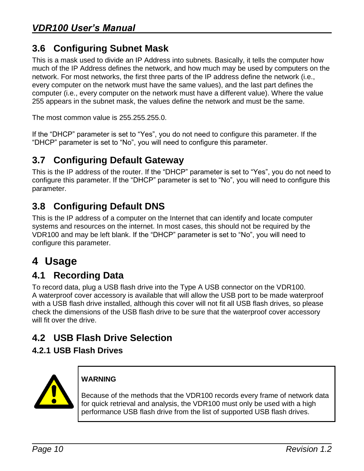## <span id="page-13-0"></span>**3.6 Configuring Subnet Mask**

This is a mask used to divide an IP Address into subnets. Basically, it tells the computer how much of the IP Address defines the network, and how much may be used by computers on the network. For most networks, the first three parts of the IP address define the network (i.e., every computer on the network must have the same values), and the last part defines the computer (i.e., every computer on the network must have a different value). Where the value 255 appears in the subnet mask, the values define the network and must be the same.

The most common value is 255.255.255.0.

If the "DHCP" parameter is set to "Yes", you do not need to configure this parameter. If the "DHCP" parameter is set to "No", you will need to configure this parameter.

## <span id="page-13-1"></span>**3.7 Configuring Default Gateway**

This is the IP address of the router. If the "DHCP" parameter is set to "Yes", you do not need to configure this parameter. If the "DHCP" parameter is set to "No", you will need to configure this parameter.

# <span id="page-13-2"></span>**3.8 Configuring Default DNS**

This is the IP address of a computer on the Internet that can identify and locate computer systems and resources on the internet. In most cases, this should not be required by the VDR100 and may be left blank. If the "DHCP" parameter is set to "No", you will need to configure this parameter.

# <span id="page-13-3"></span>**4 Usage**

## <span id="page-13-4"></span>**4.1 Recording Data**

To record data, plug a USB flash drive into the Type A USB connector on the VDR100. A waterproof cover accessory is available that will allow the USB port to be made waterproof with a USB flash drive installed, although this cover will not fit all USB flash drives, so please check the dimensions of the USB flash drive to be sure that the waterproof cover accessory will fit over the drive.

## <span id="page-13-5"></span>**4.2 USB Flash Drive Selection**

#### <span id="page-13-6"></span>**4.2.1 USB Flash Drives**



#### **WARNING**

Because of the methods that the VDR100 records every frame of network data for quick retrieval and analysis, the VDR100 must only be used with a high performance USB flash drive from the list of supported USB flash drives.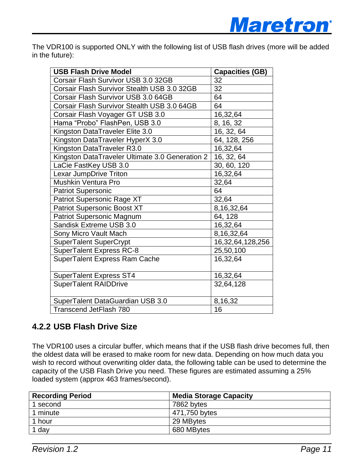

The VDR100 is supported ONLY with the following list of USB flash drives (more will be added in the future):

| <b>USB Flash Drive Model</b>                    | <b>Capacities (GB)</b> |
|-------------------------------------------------|------------------------|
| Corsair Flash Survivor USB 3.0 32GB             | 32                     |
| Corsair Flash Survivor Stealth USB 3.0 32GB     | 32                     |
| Corsair Flash Survivor USB 3.0 64GB             | 64                     |
| Corsair Flash Survivor Stealth USB 3.0 64GB     | 64                     |
| Corsair Flash Voyager GT USB 3.0                | 16,32,64               |
| Hama "Probo" FlashPen, USB 3.0                  | 8, 16, 32              |
| Kingston DataTraveler Elite 3.0                 | 16, 32, 64             |
| Kingston DataTraveler HyperX 3.0                | 64, 128, 256           |
| Kingston DataTraveler R3.0                      | 16,32,64               |
| Kingston DataTraveler Ultimate 3.0 Generation 2 | 16, 32, 64             |
| LaCie FastKey USB 3.0                           | 30, 60, 120            |
| Lexar JumpDrive Triton                          | 16,32,64               |
| <b>Mushkin Ventura Pro</b>                      | 32,64                  |
| <b>Patriot Supersonic</b>                       | 64                     |
| Patriot Supersonic Rage XT                      | 32,64                  |
| <b>Patriot Supersonic Boost XT</b>              | 8,16,32,64             |
| Patriot Supersonic Magnum                       | 64, 128                |
| Sandisk Extreme USB 3.0                         | 16,32,64               |
| Sony Micro Vault Mach                           | 8, 16, 32, 64          |
| SuperTalent SuperCrypt                          | 16,32,64,128,256       |
| <b>SuperTalent Express RC-8</b>                 | 25,50,100              |
| SuperTalent Express Ram Cache                   | 16,32,64               |
| <b>SuperTalent Express ST4</b>                  | 16,32,64               |
| <b>SuperTalent RAIDDrive</b>                    | 32,64,128              |
| SuperTalent DataGuardian USB 3.0                | 8,16,32                |
| <b>Transcend JetFlash 780</b>                   | 16                     |

#### <span id="page-14-0"></span>**4.2.2 USB Flash Drive Size**

The VDR100 uses a circular buffer, which means that if the USB flash drive becomes full, then the oldest data will be erased to make room for new data. Depending on how much data you wish to record without overwriting older data, the following table can be used to determine the capacity of the USB Flash Drive you need. These figures are estimated assuming a 25% loaded system (approx 463 frames/second).

| <b>Recording Period</b> | <b>Media Storage Capacity</b> |  |
|-------------------------|-------------------------------|--|
| 1 second                | 7862 bytes                    |  |
| 1 minute                | 471,750 bytes                 |  |
| 1 hour                  | 29 MBytes                     |  |
| 1 day                   | 680 MBytes                    |  |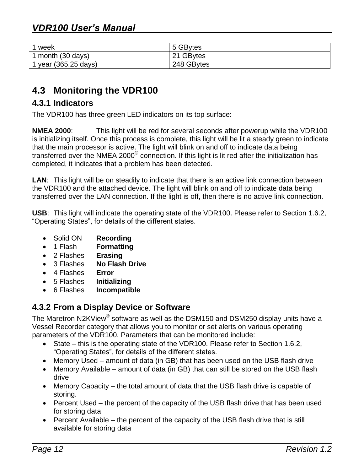| 1 week               | 5 GBytes   |
|----------------------|------------|
| 1 month (30 days)    | 21 GBytes  |
| 1 year (365.25 days) | 248 GBytes |

## <span id="page-15-0"></span>**4.3 Monitoring the VDR100**

#### <span id="page-15-1"></span>**4.3.1 Indicators**

The VDR100 has three green LED indicators on its top surface:

**NMEA 2000**: This light will be red for several seconds after powerup while the VDR100 is initializing itself. Once this process is complete, this light will be lit a steady green to indicate that the main processor is active. The light will blink on and off to indicate data being transferred over the NMEA 2000<sup>®</sup> connection. If this light is lit red after the initialization has completed, it indicates that a problem has been detected.

**LAN**: This light will be on steadily to indicate that there is an active link connection between the VDR100 and the attached device. The light will blink on and off to indicate data being transferred over the LAN connection. If the light is off, then there is no active link connection.

**USB**: This light will indicate the operating state of the VDR100. Please refer to Section [1.6.2,](#page-6-0) ["Operating States"](#page-6-0), for details of the different states.

- Solid ON **Recording**
- 1 Flash **Formatting**
- 2 Flashes **Erasing**
- 3 Flashes **No Flash Drive**
- 4 Flashes **Error**
- 5 Flashes **Initializing**
- 6 Flashes **Incompatible**

#### <span id="page-15-2"></span>**4.3.2 From a Display Device or Software**

The Maretron N2KView $^{\circledast}$  software as well as the DSM150 and DSM250 display units have a Vessel Recorder category that allows you to monitor or set alerts on various operating parameters of the VDR100. Parameters that can be monitored include:

- State this is the operating state of the VDR100. Please refer to Section [1.6.2,](#page-6-0) ["Operating States"](#page-6-0), for details of the different states.
- Memory Used amount of data (in GB) that has been used on the USB flash drive
- Memory Available amount of data (in GB) that can still be stored on the USB flash drive
- Memory Capacity the total amount of data that the USB flash drive is capable of storing.
- Percent Used the percent of the capacity of the USB flash drive that has been used for storing data
- Percent Available the percent of the capacity of the USB flash drive that is still available for storing data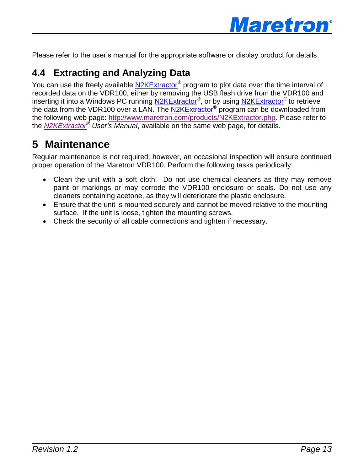

Please refer to the user's manual for the appropriate software or display product for details.

## **4.4 Extracting and Analyzing Data**

You can use the freely available [N2KExtractor](http://www.maretron.com/products/N2KExtractor.php)® program to plot data over the time interval of recorded data on the VDR100, either by removing the USB flash drive from the VDR100 and inserting it into a Windows PC running [N2KExtractor](http://www.maretron.com/products/N2KExtractor.php)®, or by using N2KExtractor® to retrieve the data from the VDR100 over a LAN. The [N2KExtractor](http://www.maretron.com/products/N2KExtractor.php)® program can be downloaded from the following web page: [http://www.maretron.com/products/N2KExtractor.php.](http://www.maretron.com/products/N2KExtractor.php) Please refer to the *[N2KExtractor](http://www.maretron.com/products/N2KExtractor.php)® User's Manual*, available on the same web page, for details.

# <span id="page-16-0"></span>**5 Maintenance**

Regular maintenance is not required; however, an occasional inspection will ensure continued proper operation of the Maretron VDR100. Perform the following tasks periodically:

- Clean the unit with a soft cloth. Do not use chemical cleaners as they may remove paint or markings or may corrode the VDR100 enclosure or seals. Do not use any cleaners containing acetone, as they will deteriorate the plastic enclosure.
- Ensure that the unit is mounted securely and cannot be moved relative to the mounting surface. If the unit is loose, tighten the mounting screws.
- Check the security of all cable connections and tighten if necessary.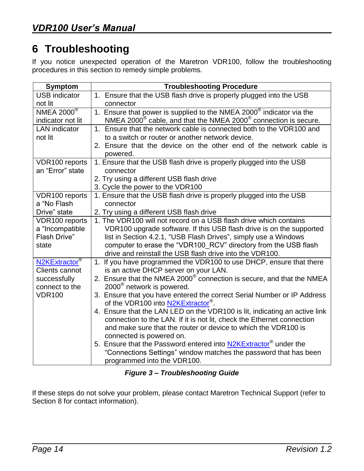# <span id="page-17-0"></span>**6 Troubleshooting**

If you notice unexpected operation of the Maretron VDR100, follow the troubleshooting procedures in this section to remedy simple problems.

| <b>Symptom</b>                                     | <b>Troubleshooting Procedure</b>                                                                                            |  |  |  |
|----------------------------------------------------|-----------------------------------------------------------------------------------------------------------------------------|--|--|--|
| <b>USB</b> indicator                               | 1. Ensure that the USB flash drive is properly plugged into the USB                                                         |  |  |  |
| not lit                                            | connector                                                                                                                   |  |  |  |
| NMEA $2000^\circ$                                  | 1. Ensure that power is supplied to the NMEA 2000 $^{\circ}$ indicator via the                                              |  |  |  |
| indicator not lit                                  | $NMEA 2000^{\circ}$ cable, and that the NMEA 2000 $^{\circ}$ connection is secure.                                          |  |  |  |
| <b>LAN</b> indicator                               | 1. Ensure that the network cable is connected both to the VDR100 and                                                        |  |  |  |
| not lit                                            | to a switch or router or another network device.                                                                            |  |  |  |
|                                                    | 2. Ensure that the device on the other end of the network cable is<br>powered.                                              |  |  |  |
| VDR100 reports                                     | 1. Ensure that the USB flash drive is properly plugged into the USB                                                         |  |  |  |
| an "Error" state                                   | connector                                                                                                                   |  |  |  |
|                                                    | 2. Try using a different USB flash drive                                                                                    |  |  |  |
|                                                    | 3. Cycle the power to the VDR100                                                                                            |  |  |  |
| VDR100 reports                                     | 1. Ensure that the USB flash drive is properly plugged into the USB                                                         |  |  |  |
| a "No Flash                                        | connector                                                                                                                   |  |  |  |
| Drive" state                                       | 2. Try using a different USB flash drive                                                                                    |  |  |  |
| VDR100 reports                                     | 1. The VDR100 will not record on a USB flash drive which contains                                                           |  |  |  |
| a "Incompatible                                    | VDR100 upgrade software. If this USB flash drive is on the supported                                                        |  |  |  |
| Flash Drive"                                       | list in Section 4.2.1, "USB Flash Drives", simply use a Windows                                                             |  |  |  |
| state                                              | computer to erase the "VDR100 RCV" directory from the USB flash<br>drive and reinstall the USB flash drive into the VDR100. |  |  |  |
|                                                    |                                                                                                                             |  |  |  |
| N2KExtractor <sup>®</sup><br><b>Clients cannot</b> | 1. If you have programmed the VDR100 to use DHCP, ensure that there<br>is an active DHCP server on your LAN.                |  |  |  |
| successfully                                       | 2. Ensure that the NMEA 2000 <sup>®</sup> connection is secure, and that the NMEA                                           |  |  |  |
| connect to the                                     | 2000 <sup>®</sup> network is powered.                                                                                       |  |  |  |
| <b>VDR100</b>                                      | 3. Ensure that you have entered the correct Serial Number or IP Address                                                     |  |  |  |
|                                                    | of the VDR100 into N2KExtractor <sup>®</sup> .                                                                              |  |  |  |
|                                                    | 4. Ensure that the LAN LED on the VDR100 is lit, indicating an active link                                                  |  |  |  |
|                                                    | connection to the LAN. If it is not lit, check the Ethernet connection                                                      |  |  |  |
|                                                    | and make sure that the router or device to which the VDR100 is                                                              |  |  |  |
|                                                    | connected is powered on.                                                                                                    |  |  |  |
|                                                    | 5. Ensure that the Password entered into N2KExtractor <sup>®</sup> under the                                                |  |  |  |
|                                                    | "Connections Settings" window matches the password that has been                                                            |  |  |  |
|                                                    | programmed into the VDR100.                                                                                                 |  |  |  |

*Figure 3 – Troubleshooting Guide*

<span id="page-17-1"></span>If these steps do not solve your problem, please contact Maretron Technical Support (refer to Section [8](#page-20-0) for contact information).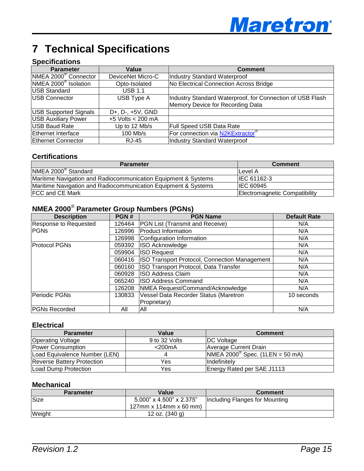

# <span id="page-18-0"></span>**7 Technical Specifications**

#### **Specifications**

| <b>Parameter</b>                 | Value             | <b>Comment</b>                                                                                |
|----------------------------------|-------------------|-----------------------------------------------------------------------------------------------|
| NMEA 2000 <sup>®</sup> Connector | DeviceNet Micro-C | Industry Standard Waterproof                                                                  |
| NMEA 2000 <sup>®</sup> Isolation | Opto-Isolated     | No Electrical Connection Across Bridge                                                        |
| <b>USB Standard</b>              | <b>USB 1.1</b>    |                                                                                               |
| <b>USB Connector</b>             | USB Type A        | Industry Standard Waterproof, for Connection of USB Flash<br>Memory Device for Recording Data |
| <b>USB Supported Signals</b>     | D+, D-, +5V, GND  |                                                                                               |
| <b>USB</b> Auxiliary Power       | +5 Volts < 200 mA |                                                                                               |
| USB Baud Rate                    | Up to 12 Mb/s     | <b>Full Speed USB Data Rate</b>                                                               |
| Ethernet Interface               | 100 Mb/s          | For connection via N2KExtractor®                                                              |
| <b>Ethernet Connector</b>        | <b>RJ-45</b>      | Industry Standard Waterproof                                                                  |

#### **Certifications**

| <b>Parameter</b>                                               | <b>Comment</b>                |
|----------------------------------------------------------------|-------------------------------|
| NMEA 2000 <sup>®</sup> Standard                                | Level A                       |
| Maritime Navigation and Radiocommunication Equipment & Systems | IEC 61162-3                   |
| Maritime Navigation and Radiocommunication Equipment & Systems | <b>IEC 60945</b>              |
| <b>FCC and CE Mark</b>                                         | Electromagnetic Compatibility |

## **NMEA 2000**® **Parameter Group Numbers (PGNs)**

| <b>Description</b>           | PGN#   | <b>PGN Name</b>                               | <b>Default Rate</b> |
|------------------------------|--------|-----------------------------------------------|---------------------|
| <b>Response to Requested</b> | 126464 | <b>PGN List (Transmit and Receive)</b>        | N/A                 |
| <b>PGNs</b>                  | 126996 | <b>Product Information</b>                    | N/A                 |
|                              | 126998 | Configuration Information                     | N/A                 |
| <b>Protocol PGNs</b>         | 059392 | <b>ISO Acknowledge</b>                        | N/A                 |
|                              | 059904 | <b>ISO Request</b>                            | N/A                 |
|                              | 060416 | ISO Transport Protocol, Connection Management | N/A                 |
|                              | 060160 | ISO Transport Protocol, Data Transfer         | N/A                 |
|                              | 060928 | <b>ISO Address Claim</b>                      | N/A                 |
|                              | 065240 | <b>ISO Address Command</b>                    | N/A                 |
|                              | 126208 | NMEA Request/Command/Acknowledge              | N/A                 |
| Periodic PGNs                | 130833 | Vessel Data Recorder Status (Maretron         | 10 seconds          |
|                              |        | Proprietary)                                  |                     |
| PGNs Recorded                | All    | All                                           | N/A                 |

#### **Electrical**

| <b>Parameter</b>                  | Value         | <b>Comment</b>                           |
|-----------------------------------|---------------|------------------------------------------|
| <b>Operating Voltage</b>          | 9 to 32 Volts | <b>DC</b> Voltage                        |
| Power Consumption                 | $<$ 200 $mA$  | Average Current Drain                    |
| Load Equivalence Number (LEN)     |               | $MHEA 2000^{\circ}$ Spec. (1LEN = 50 mA) |
| <b>Reverse Battery Protection</b> | Yes           | <b>Indefinitelv</b>                      |
| Load Dump Protection              | Yes           | Energy Rated per SAE J1113               |

#### **Mechanical**

| <b>Parameter</b> | Value                    | <b>Comment</b>                 |
|------------------|--------------------------|--------------------------------|
| Size             | 5.000" x 4.500" x 2.375" | Including Flanges for Mounting |
|                  | 127mm x 114mm x 60 mm)   |                                |
| Weight           | 12 oz. $(340 g)$         |                                |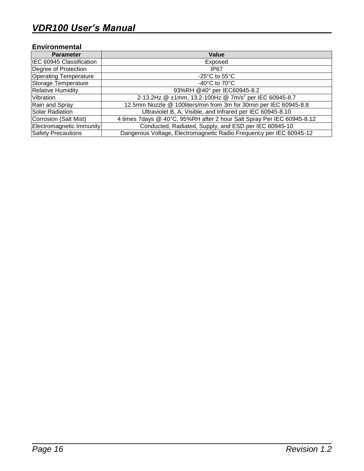#### **Environmental**

| <b>Parameter</b>             | Value                                                                  |
|------------------------------|------------------------------------------------------------------------|
| IEC 60945 Classification     | Exposed                                                                |
| Degree of Protection         | IP <sub>67</sub>                                                       |
| <b>Operating Temperature</b> | -25 $\mathrm{^{\circ}C}$ to 55 $\mathrm{^{\circ}C}$                    |
| Storage Temperature          | -40 $^{\circ}$ C to 70 $^{\circ}$ C                                    |
| <b>Relative Humidity</b>     | 93%RH @40° per IEC60945-8.2                                            |
| Vibration                    | 2-13.2Hz @ ±1mm, 13.2-100Hz @ 7m/s <sup>2</sup> per IEC 60945-8.7      |
| Rain and Spray               | 12.5mm Nozzle @ 100liters/min from 3m for 30min per IEC 60945-8.8      |
| Solar Radiation              | Ultraviolet B, A, Visible, and Infrared per IEC 60945-8.10             |
| Corrosion (Salt Mist)        | 4 times 7days @ 40°C, 95%RH after 2 hour Salt Spray Per IEC 60945-8.12 |
| Electromagnetic Immunity     | Conducted, Radiated, Supply, and ESD per IEC 60945-10                  |
| Safety Precautions           | Dangerous Voltage, Electromagnetic Radio Frequency per IEC 60945-12    |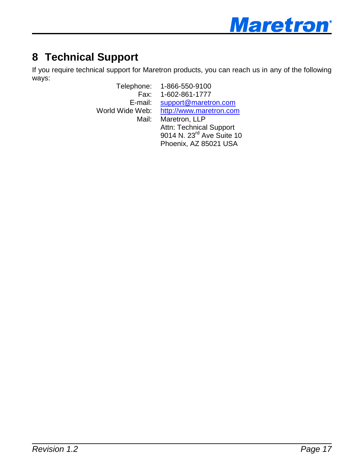

# <span id="page-20-0"></span>**8 Technical Support**

If you require technical support for Maretron products, you can reach us in any of the following ways:

Telephone: 1-866-550-9100 Fax: 1-602-861-1777 E-mail: [support@maretron.com](mailto:support@maretron.com) World Wide Web: [http://www.maretron.com](http://www.maretron.com/) Mail: Maretron, LLP Attn: Technical Support 9014 N. 23<sup>rd</sup> Ave Suite 10 Phoenix, AZ 85021 USA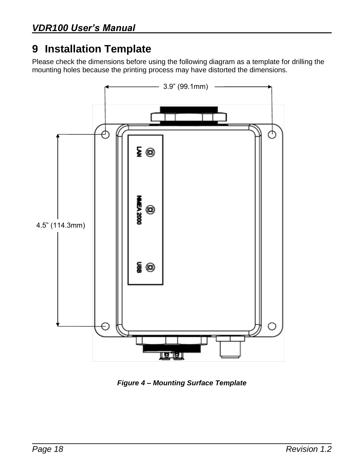# <span id="page-21-0"></span>**9 Installation Template**

Please check the dimensions before using the following diagram as a template for drilling the mounting holes because the printing process may have distorted the dimensions.



<span id="page-21-1"></span>*Figure 4 – Mounting Surface Template*